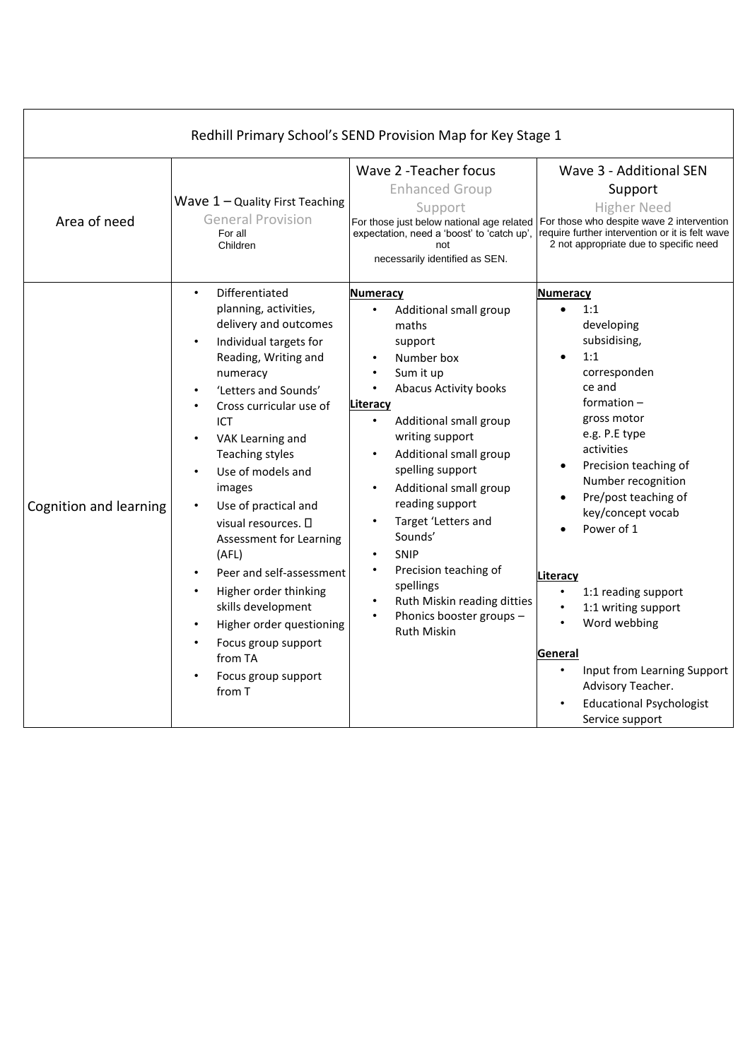| Redhill Primary School's SEND Provision Map for Key Stage 1 |                                                                                                                                                                                                                                                                                                                                                                                                                                                                                                                                                         |                                                                                                                                                                                                                                                                                                                                                                                                                                                                  |                                                                                                                                                                                                                                                                                                                                                                                                                                                                                                                   |  |  |  |
|-------------------------------------------------------------|---------------------------------------------------------------------------------------------------------------------------------------------------------------------------------------------------------------------------------------------------------------------------------------------------------------------------------------------------------------------------------------------------------------------------------------------------------------------------------------------------------------------------------------------------------|------------------------------------------------------------------------------------------------------------------------------------------------------------------------------------------------------------------------------------------------------------------------------------------------------------------------------------------------------------------------------------------------------------------------------------------------------------------|-------------------------------------------------------------------------------------------------------------------------------------------------------------------------------------------------------------------------------------------------------------------------------------------------------------------------------------------------------------------------------------------------------------------------------------------------------------------------------------------------------------------|--|--|--|
| Area of need                                                | Wave $1 -$ Quality First Teaching<br><b>General Provision</b><br>For all<br>Children                                                                                                                                                                                                                                                                                                                                                                                                                                                                    | Wave 2 - Teacher focus<br><b>Enhanced Group</b><br>Support<br>expectation, need a 'boost' to 'catch up',<br>not<br>necessarily identified as SEN.                                                                                                                                                                                                                                                                                                                | Wave 3 - Additional SEN<br>Support<br><b>Higher Need</b><br>For those just below national age related   For those who despite wave 2 intervention<br>require further intervention or it is felt wave<br>2 not appropriate due to specific need                                                                                                                                                                                                                                                                    |  |  |  |
| Cognition and learning                                      | Differentiated<br>$\bullet$<br>planning, activities,<br>delivery and outcomes<br>Individual targets for<br>Reading, Writing and<br>numeracy<br>'Letters and Sounds'<br>Cross curricular use of<br>ICT<br>VAK Learning and<br><b>Teaching styles</b><br>Use of models and<br>images<br>Use of practical and<br>visual resources. $\square$<br>Assessment for Learning<br>(AFL)<br>Peer and self-assessment<br>Higher order thinking<br>skills development<br>Higher order questioning<br>Focus group support<br>from TA<br>Focus group support<br>from T | <b>Numeracy</b><br>Additional small group<br>maths<br>support<br>Number box<br>Sum it up<br>Abacus Activity books<br>$\bullet$<br>Literacy<br>Additional small group<br>$\bullet$<br>writing support<br>Additional small group<br>spelling support<br>Additional small group<br>reading support<br>Target 'Letters and<br>Sounds'<br><b>SNIP</b><br>Precision teaching of<br>spellings<br>Ruth Miskin reading ditties<br>Phonics booster groups -<br>Ruth Miskin | <b>Numeracy</b><br>1:1<br>$\bullet$<br>developing<br>subsidising,<br>1:1<br>$\bullet$<br>corresponden<br>ce and<br>formation $-$<br>gross motor<br>e.g. P.E type<br>activities<br>Precision teaching of<br>Number recognition<br>Pre/post teaching of<br>key/concept vocab<br>Power of 1<br>Literacy<br>1:1 reading support<br>1:1 writing support<br>$\bullet$<br>$\bullet$<br>Word webbing<br>General<br>Input from Learning Support<br>Advisory Teacher.<br><b>Educational Psychologist</b><br>Service support |  |  |  |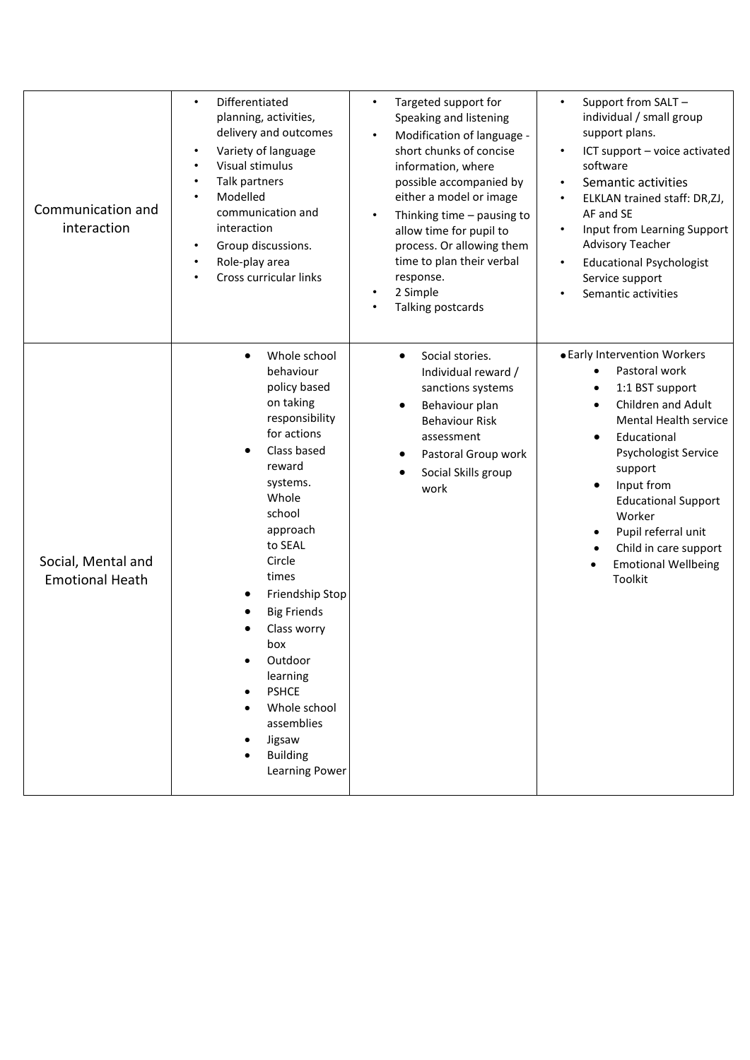| Communication and<br>interaction             | Differentiated<br>$\bullet$<br>planning, activities,<br>delivery and outcomes<br>Variety of language<br>Visual stimulus<br>Talk partners<br>٠<br>Modelled<br>communication and<br>interaction<br>Group discussions.<br>$\bullet$<br>Role-play area<br>$\bullet$<br>Cross curricular links                                                                                                              | Targeted support for<br>$\bullet$<br>Speaking and listening<br>Modification of language -<br>short chunks of concise<br>information, where<br>possible accompanied by<br>either a model or image<br>Thinking time $-$ pausing to<br>allow time for pupil to<br>process. Or allowing them<br>time to plan their verbal<br>response.<br>2 Simple<br>Talking postcards | Support from SALT -<br>$\bullet$<br>individual / small group<br>support plans.<br>ICT support - voice activated<br>software<br>Semantic activities<br>$\bullet$<br>ELKLAN trained staff: DR,ZJ,<br>$\bullet$<br>AF and SE<br>Input from Learning Support<br>$\bullet$<br><b>Advisory Teacher</b><br><b>Educational Psychologist</b><br>$\bullet$<br>Service support<br>Semantic activities |
|----------------------------------------------|--------------------------------------------------------------------------------------------------------------------------------------------------------------------------------------------------------------------------------------------------------------------------------------------------------------------------------------------------------------------------------------------------------|---------------------------------------------------------------------------------------------------------------------------------------------------------------------------------------------------------------------------------------------------------------------------------------------------------------------------------------------------------------------|--------------------------------------------------------------------------------------------------------------------------------------------------------------------------------------------------------------------------------------------------------------------------------------------------------------------------------------------------------------------------------------------|
| Social, Mental and<br><b>Emotional Heath</b> | Whole school<br>$\bullet$<br>behaviour<br>policy based<br>on taking<br>responsibility<br>for actions<br>Class based<br>reward<br>systems.<br>Whole<br>school<br>approach<br>to SEAL<br>Circle<br>times<br>Friendship Stop<br><b>Big Friends</b><br>Class worry<br>box<br>Outdoor<br>learning<br><b>PSHCE</b><br>$\bullet$<br>Whole school<br>assemblies<br>Jigsaw<br><b>Building</b><br>Learning Power | Social stories.<br>$\bullet$<br>Individual reward /<br>sanctions systems<br>Behaviour plan<br><b>Behaviour Risk</b><br>assessment<br>Pastoral Group work<br>Social Skills group<br>work                                                                                                                                                                             | • Early Intervention Workers<br>Pastoral work<br>1:1 BST support<br>Children and Adult<br>Mental Health service<br>Educational<br><b>Psychologist Service</b><br>support<br>Input from<br><b>Educational Support</b><br>Worker<br>Pupil referral unit<br>Child in care support<br><b>Emotional Wellbeing</b><br>Toolkit                                                                    |